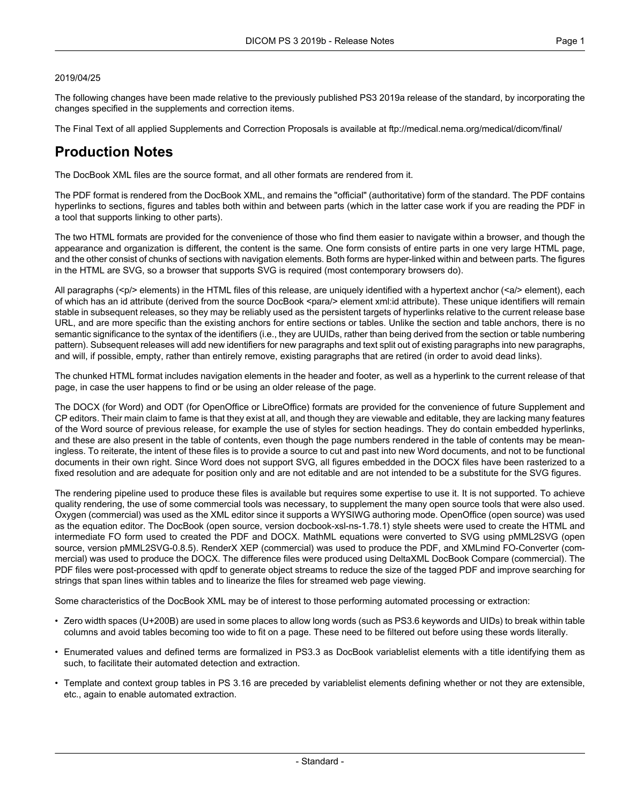#### 2019/04/25

The following changes have been made relative to the previously published PS3 2019a release of the standard, by incorporating the changes specified in the supplements and correction items.

The Final Text of all applied Supplements and Correction Proposals is available at <ftp://medical.nema.org/medical/dicom/final/>

# **Production Notes**

The DocBook XML files are the source format, and all other formats are rendered from it.

The PDF format is rendered from the DocBook XML, and remains the "official" (authoritative) form of the standard. The PDF contains hyperlinks to sections, figures and tables both within and between parts (which in the latter case work if you are reading the PDF in a tool that supports linking to other parts).

The two HTML formats are provided for the convenience of those who find them easier to navigate within a browser, and though the appearance and organization is different, the content is the same. One form consists of entire parts in one very large HTML page, and the other consist of chunks of sections with navigation elements. Both forms are hyper-linked within and between parts. The figures in the HTML are SVG, so a browser that supports SVG is required (most contemporary browsers do).

All paragraphs (<p/> elements) in the HTML files of this release, are uniquely identified with a hypertext anchor (<a/><a/>> element), each of which has an id attribute (derived from the source DocBook <para/> element xml:id attribute). These unique identifiers will remain stable in subsequent releases, so they may be reliably used as the persistent targets of hyperlinks relative to the current release base URL, and are more specific than the existing anchors for entire sections or tables. Unlike the section and table anchors, there is no semantic significance to the syntax of the identifiers (i.e., they are UUIDs, rather than being derived from the section or table numbering pattern). Subsequent releases will add new identifiers for new paragraphs and text split out of existing paragraphs into new paragraphs, and will, if possible, empty, rather than entirely remove, existing paragraphs that are retired (in order to avoid dead links).

The chunked HTML format includes navigation elements in the header and footer, as well as a hyperlink to the current release of that page, in case the user happens to find or be using an older release of the page.

The DOCX (for Word) and ODT (for OpenOffice or LibreOffice) formats are provided for the convenience of future Supplement and CP editors. Their main claim to fame is that they exist at all, and though they are viewable and editable, they are lacking many features of the Word source of previous release, for example the use of styles for section headings. They do contain embedded hyperlinks, and these are also present in the table of contents, even though the page numbers rendered in the table of contents may be mean ingless. To reiterate, the intent of these files is to provide a source to cut and past into new Word documents, and not to be functional documents in their own right. Since Word does not support SVG, all figures embedded in the DOCX files have been rasterized to a fixed resolution and are adequate for position only and are not editable and are not intended to be a substitute for the SVG figures.

The rendering pipeline used to produce these files is available but requires some expertise to use it. It is not supported. To achieve quality rendering, the use of some commercial tools was necessary, to supplement the many open source tools that were also used. Oxygen (commercial) was used as the XML editor since it supports a WYSIWG authoring mode. OpenOffice (open source) was used as the equation editor. The DocBook (open source, version docbook-xsl-ns-1.78.1) style sheets were used to create the HTML and intermediate FO form used to created the PDF and DOCX. MathML equations were converted to SVG using pMML2SVG (open source, version pMML2SVG-0.8.5). RenderX XEP (commercial) was used to produce the PDF, and XMLmind FO-Converter (com mercial) was used to produce the DOCX. The difference files were produced using DeltaXML DocBook Compare (commercial). The PDF files were post-processed with qpdf to generate object streams to reduce the size of the tagged PDF and improve searching for strings that span lines within tables and to linearize the files for streamed web page viewing.

Some characteristics of the DocBook XML may be of interest to those performing automated processing or extraction:

- Zero width spaces (U+200B) are used in some places to allow long words (such as PS3.6 keywords and UIDs) to break within table columns and avoid tables becoming too wide to fit on a page. These need to be filtered out before using these words literally.
- Enumerated values and defined terms are formalized in PS3.3 as DocBook variablelist elements with a title identifying them as such, to facilitate their automated detection and extraction.
- Template and context group tables in PS 3.16 are preceded by variablelist elements defining whether or not they are extensible, etc., again to enable automated extraction.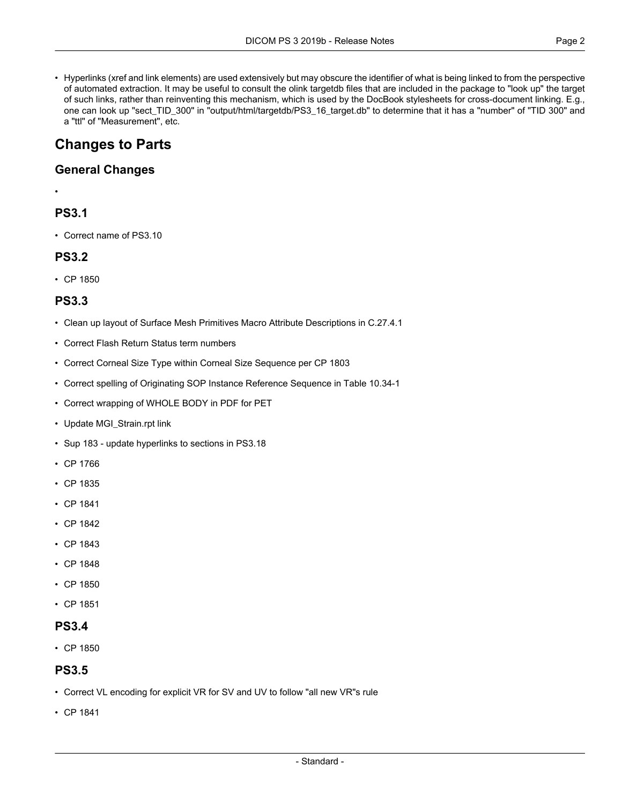• Hyperlinks (xref and link elements) are used extensively but may obscure the identifier of what is being linked to from the perspective of automated extraction. It may be useful to consult the olink targetdb files that are included in the package to "look up" the target of such links, rather than reinventing this mechanism, which is used by the DocBook stylesheets for cross-document linking. E.g., one can look up "sect\_TID\_300" in "output/html/targetdb/PS3\_16\_target.db" to determine that it has a "number" of "TID 300" and a "ttl" of "Measurement", etc.

# **Changes to Parts**

### **General Changes**

#### •

## **PS3.1**

• Correct name of PS3.10

## **PS3.2**

• CP [1850](#page-4-0)

### **PS3.3**

- Clean up layout of Surface Mesh Primitives Macro Attribute Descriptions in C.27.4.1
- Correct Flash Return Status term numbers
- Correct Corneal Size Type within Corneal Size Sequence per CP 1803
- Correct spelling of Originating SOP Instance Reference Sequence in Table 10.34-1
- Correct wrapping of WHOLE BODY in PDF for PET
- Update MGI\_Strain.rpt link
- Sup 183 update [hyperlinks](#page-4-1) to sections in PS3.18
- CP [1766](#page-4-2)
- CP [1835](#page-4-3)
- CP [1841](#page-4-4)
- CP [1842](#page-4-5)
- CP [1843](#page-4-6)
- CP [1848](#page-4-7)
- CP [1850](#page-4-0)
- CP [1851](#page-4-8)

### **PS3.4**

• CP [1850](#page-4-0)

#### **PS3.5**

- Correct VL encoding for explicit VR for SV and UV to follow "all new VR"s rule
- CP [1841](#page-4-4)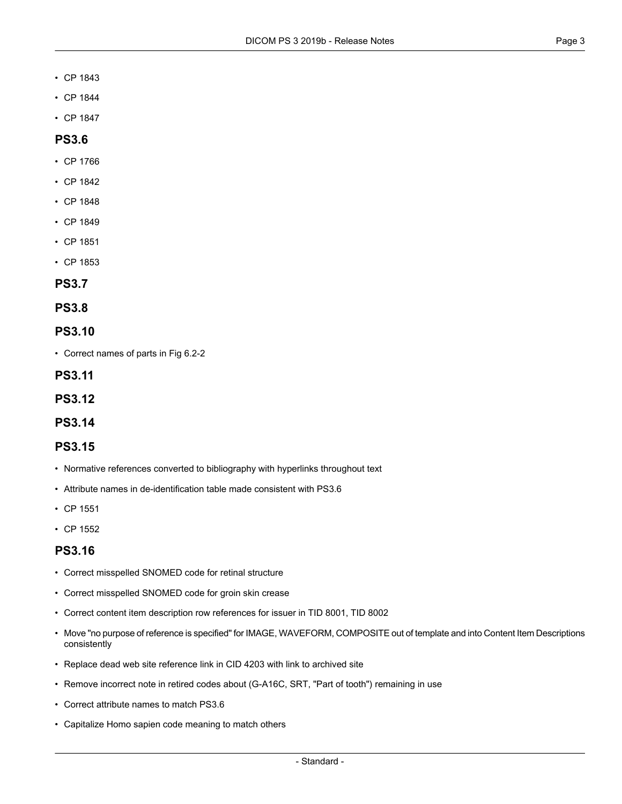- CP [1843](#page-4-6)
- CP [1844](#page-4-9)
- CP [1847](#page-4-10)

### **PS3.6**

- CP [1766](#page-4-2)
- CP [1842](#page-4-5)
- CP [1848](#page-4-7)
- CP [1849](#page-4-11)
- CP [1851](#page-4-8)
- CP [1853](#page-4-12)

#### **PS3.7**

**PS3.8**

#### **PS3.10**

• Correct names of parts in Fig 6.2-2

**PS3.11**

**PS3.12**

#### **PS3.14**

#### **PS3.15**

- Normative references converted to bibliography with hyperlinks throughout text
- Attribute names in de-identification table made consistent with PS3.6
- CP [1551](#page-4-13)
- CP [1552](#page-4-14)

### **PS3.16**

- Correct misspelled SNOMED code for retinal structure
- Correct misspelled SNOMED code for groin skin crease
- Correct content item description row references for issuer in TID 8001, TID 8002
- Move "no purpose of reference is specified" for IMAGE, WAVEFORM, COMPOSITE out of template and into Content Item Descriptions consistently
- Replace dead web site reference link in CID 4203 with link to archived site
- Remove incorrect note in retired codes about (G-A16C, SRT, "Part of tooth") remaining in use
- Correct attribute names to match PS3.6
- Capitalize Homo sapien code meaning to match others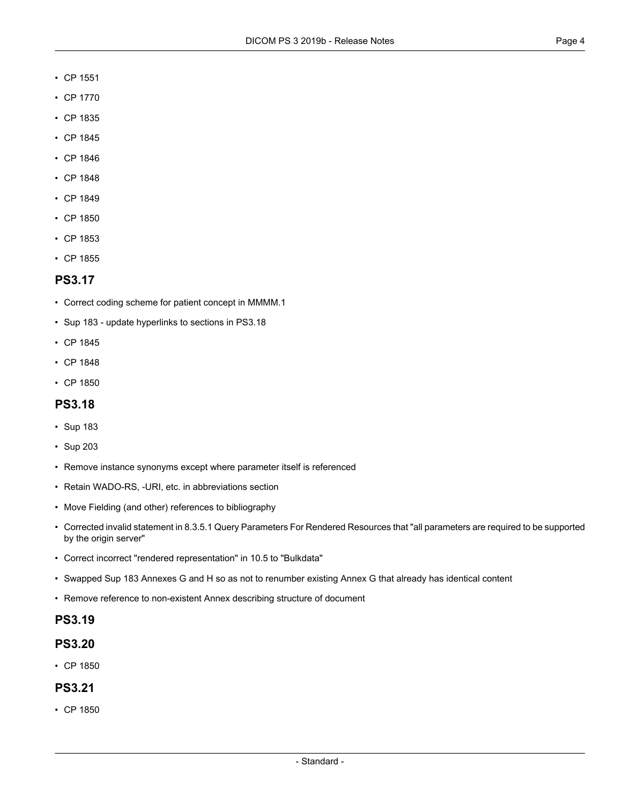- CP [1551](#page-4-13)
- CP [1770](#page-4-15)
- CP [1835](#page-4-3)
- CP [1845](#page-4-16)
- CP [1846](#page-4-17)
- CP [1848](#page-4-7)
- CP [1849](#page-4-11)
- CP [1850](#page-4-0)
- CP [1853](#page-4-12)
- CP [1855](#page-4-18)

#### **PS3.17**

- Correct coding scheme for patient concept in MMMM.1
- Sup 183 update [hyperlinks](#page-4-1) to sections in PS3.18
- CP [1845](#page-4-16)
- CP [1848](#page-4-7)
- CP [1850](#page-4-0)

### **PS3.18**

- [Sup](#page-4-1) 183
- [Sup](#page-4-19) 203
- Remove instance synonyms except where parameter itself is referenced
- Retain WADO-RS, -URI, etc. in abbreviations section
- Move Fielding (and other) references to bibliography
- Corrected invalid statement in 8.3.5.1 Query Parameters For Rendered Resources that "all parameters are required to be supported by the origin server"
- Correct incorrect "rendered representation" in 10.5 to "Bulkdata"
- Swapped Sup 183 Annexes G and H so as not to renumber existing Annex G that already has identical content
- Remove reference to non-existent Annex describing structure of document

#### **PS3.19**

### **PS3.20**

• CP [1850](#page-4-0)

#### **PS3.21**

• CP [1850](#page-4-0)